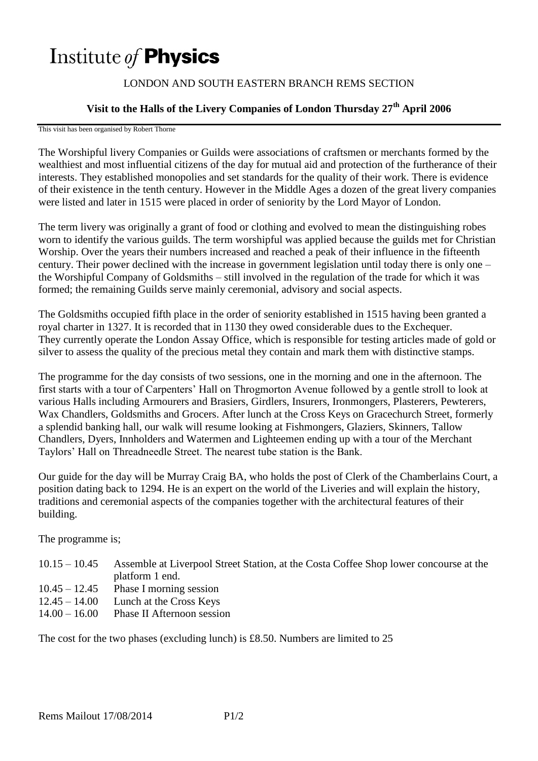## Institute of **Physics**

## LONDON AND SOUTH EASTERN BRANCH REMS SECTION

## **Visit to the Halls of the Livery Companies of London Thursday 27th April 2006**

## This visit has been organised by Robert Thorne

The Worshipful livery Companies or Guilds were associations of craftsmen or merchants formed by the wealthiest and most influential citizens of the day for mutual aid and protection of the furtherance of their interests. They established monopolies and set standards for the quality of their work. There is evidence of their existence in the tenth century. However in the Middle Ages a dozen of the great livery companies were listed and later in 1515 were placed in order of seniority by the Lord Mayor of London.

The term livery was originally a grant of food or clothing and evolved to mean the distinguishing robes worn to identify the various guilds. The term worshipful was applied because the guilds met for Christian Worship. Over the years their numbers increased and reached a peak of their influence in the fifteenth century. Their power declined with the increase in government legislation until today there is only one – the Worshipful Company of Goldsmiths – still involved in the regulation of the trade for which it was formed; the remaining Guilds serve mainly ceremonial, advisory and social aspects.

The Goldsmiths occupied fifth place in the order of seniority established in 1515 having been granted a royal charter in 1327. It is recorded that in 1130 they owed considerable dues to the Exchequer. They currently operate the London Assay Office, which is responsible for testing articles made of gold or silver to assess the quality of the precious metal they contain and mark them with distinctive stamps.

The programme for the day consists of two sessions, one in the morning and one in the afternoon. The first starts with a tour of Carpenters' Hall on Throgmorton Avenue followed by a gentle stroll to look at various Halls including Armourers and Brasiers, Girdlers, Insurers, Ironmongers, Plasterers, Pewterers, Wax Chandlers, Goldsmiths and Grocers. After lunch at the Cross Keys on Gracechurch Street, formerly a splendid banking hall, our walk will resume looking at Fishmongers, Glaziers, Skinners, Tallow Chandlers, Dyers, Innholders and Watermen and Lighteemen ending up with a tour of the Merchant Taylors' Hall on Threadneedle Street. The nearest tube station is the Bank.

Our guide for the day will be Murray Craig BA, who holds the post of Clerk of the Chamberlains Court, a position dating back to 1294. He is an expert on the world of the Liveries and will explain the history, traditions and ceremonial aspects of the companies together with the architectural features of their building.

The programme is;

- 10.15 10.45 Assemble at Liverpool Street Station, at the Costa Coffee Shop lower concourse at the platform 1 end.
- 10.45 12.45 Phase I morning session
- $12.45 14.00$  Lunch at the Cross Keys
- 14.00 16.00 Phase II Afternoon session

The cost for the two phases (excluding lunch) is £8.50. Numbers are limited to 25